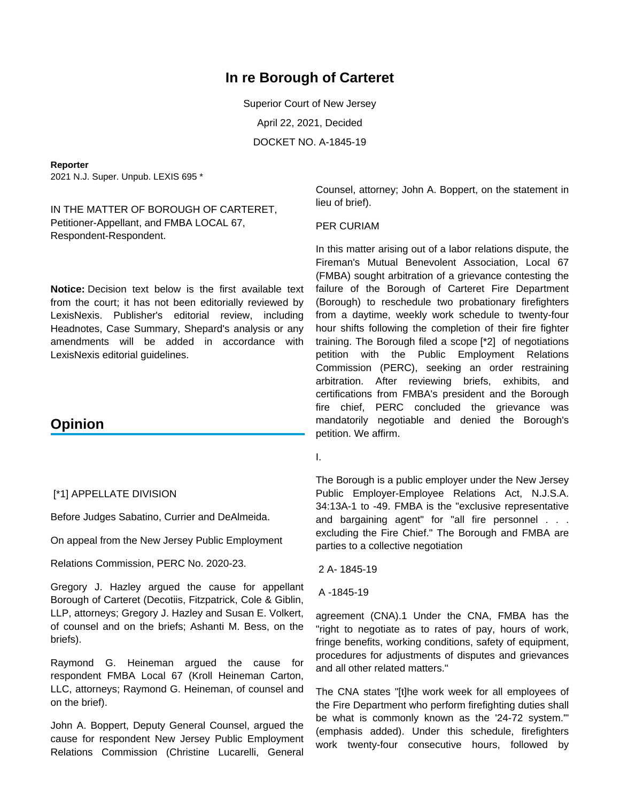# **In re Borough of Carteret**

Superior Court of New Jersey April 22, 2021, Decided DOCKET NO. A-1845-19

#### **Reporter**

2021 N.J. Super. Unpub. LEXIS 695 \*

IN THE MATTER OF BOROUGH OF CARTERET, Petitioner-Appellant, and FMBA LOCAL 67, Respondent-Respondent.

**Notice:** Decision text below is the first available text from the court; it has not been editorially reviewed by LexisNexis. Publisher's editorial review, including Headnotes, Case Summary, Shepard's analysis or any amendments will be added in accordance with LexisNexis editorial guidelines.

## **Opinion**

## [\*1] APPELLATE DIVISION

Before Judges Sabatino, Currier and DeAlmeida.

On appeal from the New Jersey Public Employment

Relations Commission, PERC No. 2020-23.

Gregory J. Hazley argued the cause for appellant Borough of Carteret (Decotiis, Fitzpatrick, Cole & Giblin, LLP, attorneys; Gregory J. Hazley and Susan E. Volkert, of counsel and on the briefs; Ashanti M. Bess, on the briefs).

Raymond G. Heineman argued the cause for respondent FMBA Local 67 (Kroll Heineman Carton, LLC, attorneys; Raymond G. Heineman, of counsel and on the brief).

John A. Boppert, Deputy General Counsel, argued the cause for respondent New Jersey Public Employment Relations Commission (Christine Lucarelli, General

Counsel, attorney; John A. Boppert, on the statement in lieu of brief).

#### PER CURIAM

In this matter arising out of a labor relations dispute, the Fireman's Mutual Benevolent Association, Local 67 (FMBA) sought arbitration of a grievance contesting the failure of the Borough of Carteret Fire Department (Borough) to reschedule two probationary firefighters from a daytime, weekly work schedule to twenty-four hour shifts following the completion of their fire fighter training. The Borough filed a scope [\*2] of negotiations petition with the Public Employment Relations Commission (PERC), seeking an order restraining arbitration. After reviewing briefs, exhibits, and certifications from FMBA's president and the Borough fire chief, PERC concluded the grievance was mandatorily negotiable and denied the Borough's petition. We affirm.

I.

The Borough is a public employer under the New Jersey Public Employer-Employee Relations Act, N.J.S.A. 34:13A-1 to -49. FMBA is the "exclusive representative and bargaining agent" for "all fire personnel . . . excluding the Fire Chief." The Borough and FMBA are parties to a collective negotiation

2 A- 1845-19

A -1845-19

agreement (CNA).1 Under the CNA, FMBA has the "right to negotiate as to rates of pay, hours of work, fringe benefits, working conditions, safety of equipment, procedures for adjustments of disputes and grievances and all other related matters."

The CNA states "[t]he work week for all employees of the Fire Department who perform firefighting duties shall be what is commonly known as the '24-72 system.'" (emphasis added). Under this schedule, firefighters work twenty-four consecutive hours, followed by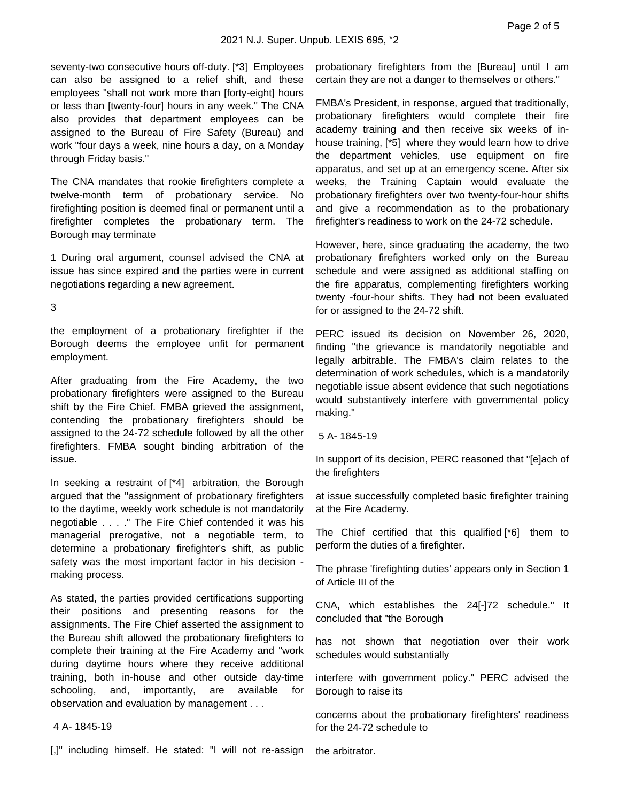seventy-two consecutive hours off-duty. [\*3] Employees can also be assigned to a relief shift, and these employees "shall not work more than [forty-eight] hours or less than [twenty-four] hours in any week." The CNA also provides that department employees can be assigned to the Bureau of Fire Safety (Bureau) and work "four days a week, nine hours a day, on a Monday through Friday basis."

The CNA mandates that rookie firefighters complete a twelve-month term of probationary service. No firefighting position is deemed final or permanent until a firefighter completes the probationary term. The Borough may terminate

1 During oral argument, counsel advised the CNA at issue has since expired and the parties were in current negotiations regarding a new agreement.

### 3

the employment of a probationary firefighter if the Borough deems the employee unfit for permanent employment.

After graduating from the Fire Academy, the two probationary firefighters were assigned to the Bureau shift by the Fire Chief. FMBA grieved the assignment, contending the probationary firefighters should be assigned to the 24-72 schedule followed by all the other firefighters. FMBA sought binding arbitration of the issue.

In seeking a restraint of [\*4] arbitration, the Borough argued that the "assignment of probationary firefighters to the daytime, weekly work schedule is not mandatorily negotiable . . . ." The Fire Chief contended it was his managerial prerogative, not a negotiable term, to determine a probationary firefighter's shift, as public safety was the most important factor in his decision making process.

As stated, the parties provided certifications supporting their positions and presenting reasons for the assignments. The Fire Chief asserted the assignment to the Bureau shift allowed the probationary firefighters to complete their training at the Fire Academy and "work during daytime hours where they receive additional training, both in-house and other outside day-time schooling, and, importantly, are available for observation and evaluation by management . . .

## 4 A- 1845-19

[,]" including himself. He stated: "I will not re-assign

probationary firefighters from the [Bureau] until I am certain they are not a danger to themselves or others."

FMBA's President, in response, argued that traditionally, probationary firefighters would complete their fire academy training and then receive six weeks of inhouse training, [\*5] where they would learn how to drive the department vehicles, use equipment on fire apparatus, and set up at an emergency scene. After six weeks, the Training Captain would evaluate the probationary firefighters over two twenty-four-hour shifts and give a recommendation as to the probationary firefighter's readiness to work on the 24-72 schedule.

However, here, since graduating the academy, the two probationary firefighters worked only on the Bureau schedule and were assigned as additional staffing on the fire apparatus, complementing firefighters working twenty -four-hour shifts. They had not been evaluated for or assigned to the 24-72 shift.

PERC issued its decision on November 26, 2020, finding "the grievance is mandatorily negotiable and legally arbitrable. The FMBA's claim relates to the determination of work schedules, which is a mandatorily negotiable issue absent evidence that such negotiations would substantively interfere with governmental policy making."

5 A- 1845-19

In support of its decision, PERC reasoned that "[e]ach of the firefighters

at issue successfully completed basic firefighter training at the Fire Academy.

The Chief certified that this qualified [\*6] them to perform the duties of a firefighter.

The phrase 'firefighting duties' appears only in Section 1 of Article III of the

CNA, which establishes the 24[-]72 schedule." It concluded that "the Borough

has not shown that negotiation over their work schedules would substantially

interfere with government policy." PERC advised the Borough to raise its

concerns about the probationary firefighters' readiness for the 24-72 schedule to

the arbitrator.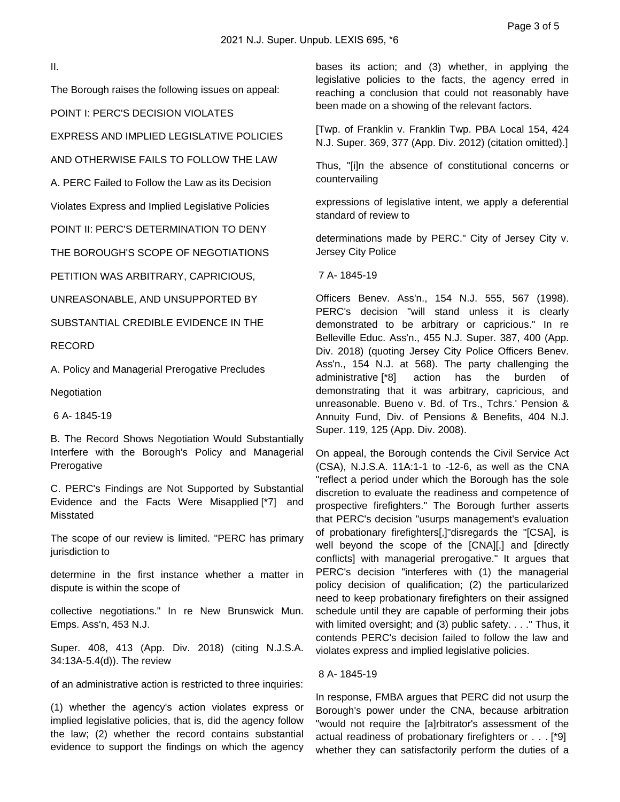II.

The Borough raises the following issues on appeal:

POINT I: PERC'S DECISION VIOLATES

EXPRESS AND IMPLIED LEGISLATIVE POLICIES

AND OTHERWISE FAILS TO FOLLOW THE LAW

A. PERC Failed to Follow the Law as its Decision

Violates Express and Implied Legislative Policies

POINT II: PERC'S DETERMINATION TO DENY

THE BOROUGH'S SCOPE OF NEGOTIATIONS

PETITION WAS ARBITRARY, CAPRICIOUS,

UNREASONABLE, AND UNSUPPORTED BY

SUBSTANTIAL CREDIBLE EVIDENCE IN THE

RECORD

A. Policy and Managerial Prerogative Precludes

Negotiation

6 A- 1845-19

B. The Record Shows Negotiation Would Substantially Interfere with the Borough's Policy and Managerial **Prerogative** 

C. PERC's Findings are Not Supported by Substantial Evidence and the Facts Were Misapplied [\*7] and Misstated

The scope of our review is limited. "PERC has primary jurisdiction to

determine in the first instance whether a matter in dispute is within the scope of

collective negotiations." In re New Brunswick Mun. Emps. Ass'n, 453 N.J.

Super. 408, 413 (App. Div. 2018) (citing N.J.S.A. 34:13A-5.4(d)). The review

of an administrative action is restricted to three inquiries:

(1) whether the agency's action violates express or implied legislative policies, that is, did the agency follow the law; (2) whether the record contains substantial evidence to support the findings on which the agency bases its action; and (3) whether, in applying the legislative policies to the facts, the agency erred in reaching a conclusion that could not reasonably have been made on a showing of the relevant factors.

[Twp. of Franklin v. Franklin Twp. PBA Local 154, 424 N.J. Super. 369, 377 (App. Div. 2012) (citation omitted).]

Thus, "[i]n the absence of constitutional concerns or countervailing

expressions of legislative intent, we apply a deferential standard of review to

determinations made by PERC." City of Jersey City v. Jersey City Police

7 A- 1845-19

Officers Benev. Ass'n., 154 N.J. 555, 567 (1998). PERC's decision "will stand unless it is clearly demonstrated to be arbitrary or capricious." In re Belleville Educ. Ass'n., 455 N.J. Super. 387, 400 (App. Div. 2018) (quoting Jersey City Police Officers Benev. Ass'n., 154 N.J. at 568). The party challenging the administrative [\*8] action has the burden of demonstrating that it was arbitrary, capricious, and unreasonable. Bueno v. Bd. of Trs., Tchrs.' Pension & Annuity Fund, Div. of Pensions & Benefits, 404 N.J. Super. 119, 125 (App. Div. 2008).

On appeal, the Borough contends the Civil Service Act (CSA), N.J.S.A. 11A:1-1 to -12-6, as well as the CNA "reflect a period under which the Borough has the sole discretion to evaluate the readiness and competence of prospective firefighters." The Borough further asserts that PERC's decision "usurps management's evaluation of probationary firefighters[,]"disregards the "[CSA], is well beyond the scope of the [CNA][,] and [directly conflicts] with managerial prerogative." It argues that PERC's decision "interferes with (1) the managerial policy decision of qualification; (2) the particularized need to keep probationary firefighters on their assigned schedule until they are capable of performing their jobs with limited oversight; and (3) public safety. . . ." Thus, it contends PERC's decision failed to follow the law and violates express and implied legislative policies.

## 8 A- 1845-19

In response, FMBA argues that PERC did not usurp the Borough's power under the CNA, because arbitration "would not require the [a]rbitrator's assessment of the actual readiness of probationary firefighters or . . . [\*9] whether they can satisfactorily perform the duties of a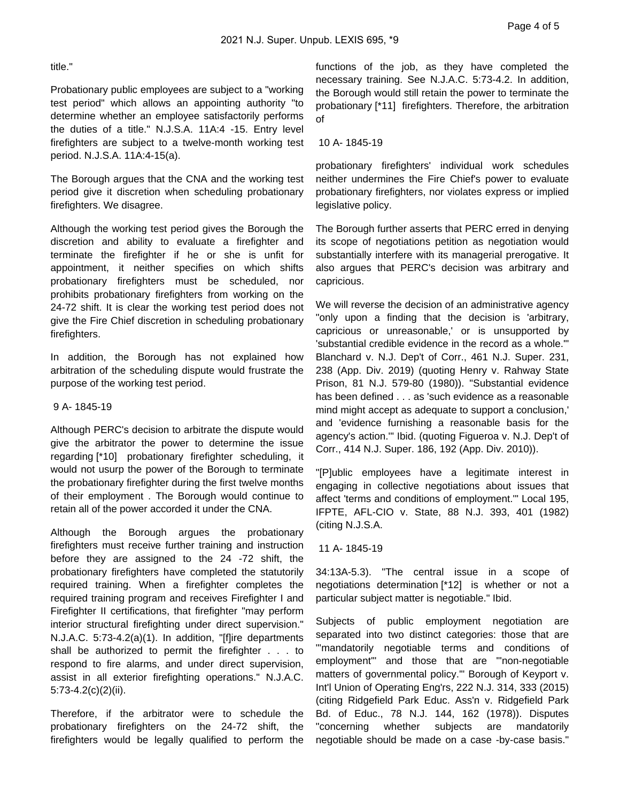## title."

Probationary public employees are subject to a "working test period" which allows an appointing authority "to determine whether an employee satisfactorily performs the duties of a title." N.J.S.A. 11A:4 -15. Entry level firefighters are subject to a twelve-month working test period. N.J.S.A. 11A:4-15(a).

The Borough argues that the CNA and the working test period give it discretion when scheduling probationary firefighters. We disagree.

Although the working test period gives the Borough the discretion and ability to evaluate a firefighter and terminate the firefighter if he or she is unfit for appointment, it neither specifies on which shifts probationary firefighters must be scheduled, nor prohibits probationary firefighters from working on the 24-72 shift. It is clear the working test period does not give the Fire Chief discretion in scheduling probationary firefighters.

In addition, the Borough has not explained how arbitration of the scheduling dispute would frustrate the purpose of the working test period.

## 9 A- 1845-19

Although PERC's decision to arbitrate the dispute would give the arbitrator the power to determine the issue regarding [\*10] probationary firefighter scheduling, it would not usurp the power of the Borough to terminate the probationary firefighter during the first twelve months of their employment . The Borough would continue to retain all of the power accorded it under the CNA.

Although the Borough argues the probationary firefighters must receive further training and instruction before they are assigned to the 24 -72 shift, the probationary firefighters have completed the statutorily required training. When a firefighter completes the required training program and receives Firefighter I and Firefighter II certifications, that firefighter "may perform interior structural firefighting under direct supervision." N.J.A.C. 5:73-4.2(a)(1). In addition, "[f]ire departments shall be authorized to permit the firefighter . . . to respond to fire alarms, and under direct supervision, assist in all exterior firefighting operations." N.J.A.C. 5:73-4.2(c)(2)(ii).

Therefore, if the arbitrator were to schedule the probationary firefighters on the 24-72 shift, the firefighters would be legally qualified to perform the

functions of the job, as they have completed the necessary training. See N.J.A.C. 5:73-4.2. In addition, the Borough would still retain the power to terminate the probationary [\*11] firefighters. Therefore, the arbitration of

10 A- 1845-19

probationary firefighters' individual work schedules neither undermines the Fire Chief's power to evaluate probationary firefighters, nor violates express or implied legislative policy.

The Borough further asserts that PERC erred in denying its scope of negotiations petition as negotiation would substantially interfere with its managerial prerogative. It also argues that PERC's decision was arbitrary and capricious.

We will reverse the decision of an administrative agency "only upon a finding that the decision is 'arbitrary, capricious or unreasonable,' or is unsupported by 'substantial credible evidence in the record as a whole.'" Blanchard v. N.J. Dep't of Corr., 461 N.J. Super. 231, 238 (App. Div. 2019) (quoting Henry v. Rahway State Prison, 81 N.J. 579-80 (1980)). "Substantial evidence has been defined . . . as 'such evidence as a reasonable mind might accept as adequate to support a conclusion,' and 'evidence furnishing a reasonable basis for the agency's action.'" Ibid. (quoting Figueroa v. N.J. Dep't of Corr., 414 N.J. Super. 186, 192 (App. Div. 2010)).

"[P]ublic employees have a legitimate interest in engaging in collective negotiations about issues that affect 'terms and conditions of employment.'" Local 195, IFPTE, AFL-CIO v. State, 88 N.J. 393, 401 (1982) (citing N.J.S.A.

11 A- 1845-19

34:13A-5.3). "The central issue in a scope of negotiations determination [\*12] is whether or not a particular subject matter is negotiable." Ibid.

Subjects of public employment negotiation are separated into two distinct categories: those that are "'mandatorily negotiable terms and conditions of employment'" and those that are "'non-negotiable matters of governmental policy.'" Borough of Keyport v. Int'l Union of Operating Eng'rs, 222 N.J. 314, 333 (2015) (citing Ridgefield Park Educ. Ass'n v. Ridgefield Park Bd. of Educ., 78 N.J. 144, 162 (1978)). Disputes "concerning whether subjects are mandatorily negotiable should be made on a case -by-case basis."